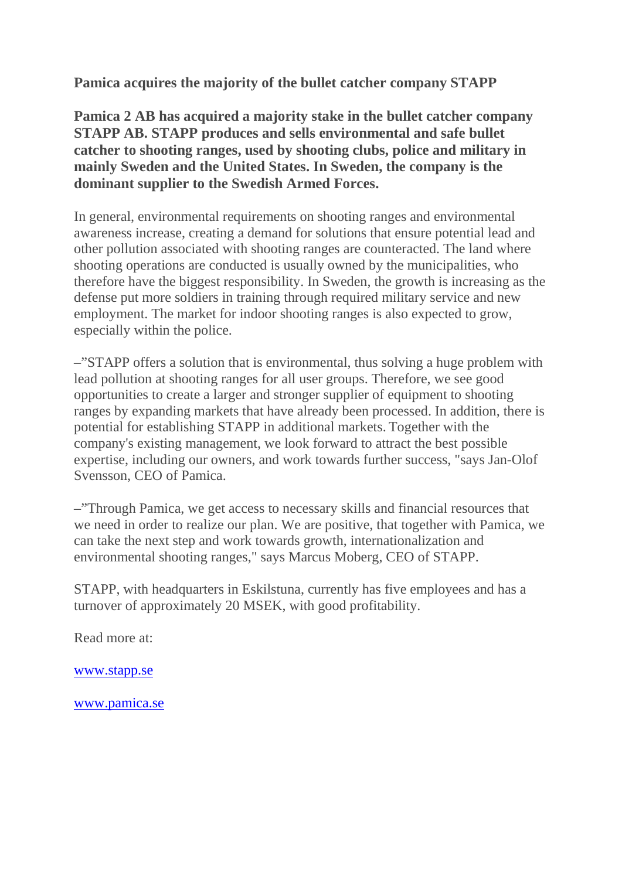**Pamica acquires the majority of the bullet catcher company STAPP**

**Pamica 2 AB has acquired a majority stake in the bullet catcher company STAPP AB. STAPP produces and sells environmental and safe bullet catcher to shooting ranges, used by shooting clubs, police and military in mainly Sweden and the United States. In Sweden, the company is the dominant supplier to the Swedish Armed Forces.**

In general, environmental requirements on shooting ranges and environmental awareness increase, creating a demand for solutions that ensure potential lead and other pollution associated with shooting ranges are counteracted. The land where shooting operations are conducted is usually owned by the municipalities, who therefore have the biggest responsibility. In Sweden, the growth is increasing as the defense put more soldiers in training through required military service and new employment. The market for indoor shooting ranges is also expected to grow, especially within the police.

–"STAPP offers a solution that is environmental, thus solving a huge problem with lead pollution at shooting ranges for all user groups. Therefore, we see good opportunities to create a larger and stronger supplier of equipment to shooting ranges by expanding markets that have already been processed. In addition, there is potential for establishing STAPP in additional markets. Together with the company's existing management, we look forward to attract the best possible expertise, including our owners, and work towards further success, "says Jan-Olof Svensson, CEO of Pamica.

–"Through Pamica, we get access to necessary skills and financial resources that we need in order to realize our plan. We are positive, that together with Pamica, we can take the next step and work towards growth, internationalization and environmental shooting ranges," says Marcus Moberg, CEO of STAPP.

STAPP, with headquarters in Eskilstuna, currently has five employees and has a turnover of approximately 20 MSEK, with good profitability.

Read more at:

[www.stapp.se](http://www.stapp.se/)

[www.pamica.se](http://www.pamica.se/)